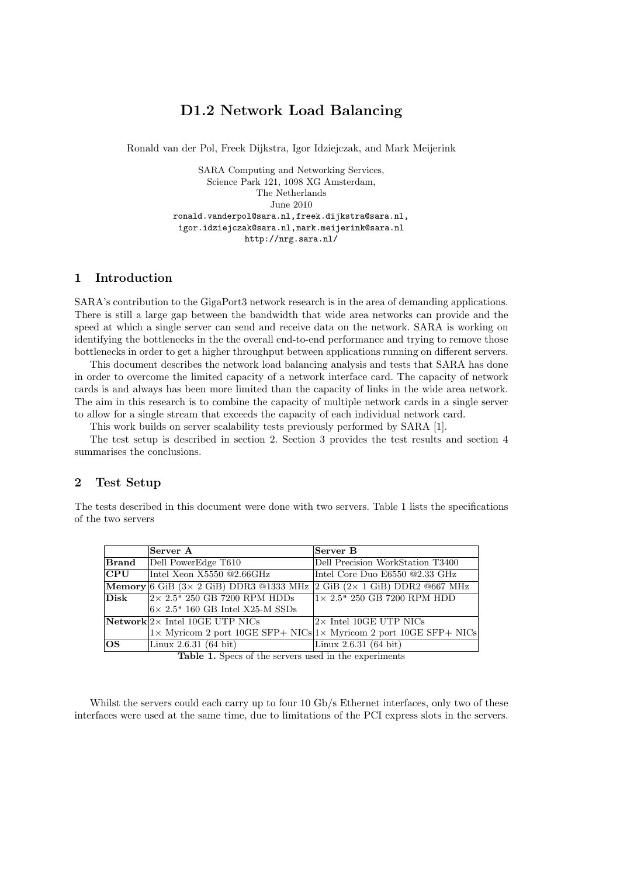# D1.2 Network Load Balancing

Ronald van der Pol, Freek Dijkstra, Igor Idziejczak, and Mark Meijerink

SARA Computing and Networking Services, Science Park 121, 1098 XG Amsterdam, The Netherlands June 2010 ronald.vanderpol@sara.nl,freek.dijkstra@sara.nl, igor.idziejczak@sara.nl,mark.meijerink@sara.nl http://nrg.sara.nl/

# 1 Introduction

SARA's contribution to the GigaPort3 network research is in the area of demanding applications. There is still a large gap between the bandwidth that wide area networks can provide and the speed at which a single server can send and receive data on the network. SARA is working on identifying the bottlenecks in the the overall end-to-end performance and trying to remove those bottlenecks in order to get a higher throughput between applications running on different servers.

This document describes the network load balancing analysis and tests that SARA has done in order to overcome the limited capacity of a network interface card. The capacity of network cards is and always has been more limited than the capacity of links in the wide area network. The aim in this research is to combine the capacity of multiple network cards in a single server to allow for a single stream that exceeds the capacity of each individual network card.

This work builds on server scalability tests previously performed by SARA [1].

The test setup is described in section 2. Section 3 provides the test results and section 4 summarises the conclusions.

#### 2 Test Setup

The tests described in this document were done with two servers. Table 1 lists the specifications of the two servers

|                         | Server A                                                                                                       | Server B                                                                            |
|-------------------------|----------------------------------------------------------------------------------------------------------------|-------------------------------------------------------------------------------------|
| $\bm{\mathrm{Brand}}$   | Dell PowerEdge T610                                                                                            | Dell Precision WorkStation T3400                                                    |
| $\overline{\text{CPU}}$ | Intel Xeon X5550 @2.66GHz                                                                                      | Intel Core Duo E6550 @2.33 GHz                                                      |
|                         | Memory 6 GiB $(3 \times 2 \text{ GiB})$ DDR3 @1333 MHz $ 2 \text{ GiB} (2 \times 1 \text{ GiB})$ DDR2 @667 MHz |                                                                                     |
| Disk                    | $2 \times 2.5$ " 250 GB 7200 RPM HDDs                                                                          | $1\times$ 2.5" 250 GB 7200 RPM HDD                                                  |
|                         | $6\times$ 2.5" 160 GB Intel X25-M SSDs                                                                         |                                                                                     |
|                         | $\vert$ Network $\vert$ 2 $\times$ Intel 10GE UTP NICs                                                         | $2\times$ Intel 10GE UTP NICs                                                       |
|                         |                                                                                                                | $ x \text{ Myricom 2 port 10GE SFP+ NICs} x \text{ Myricom 2 port 10GE SFP+ NICs} $ |
| los                     | Linux 2.6.31 (64 bit)                                                                                          | Linux $2.6.31(64 \text{ bit})$                                                      |

Table 1. Specs of the servers used in the experiments

Whilst the servers could each carry up to four 10 Gb/s Ethernet interfaces, only two of these interfaces were used at the same time, due to limitations of the PCI express slots in the servers.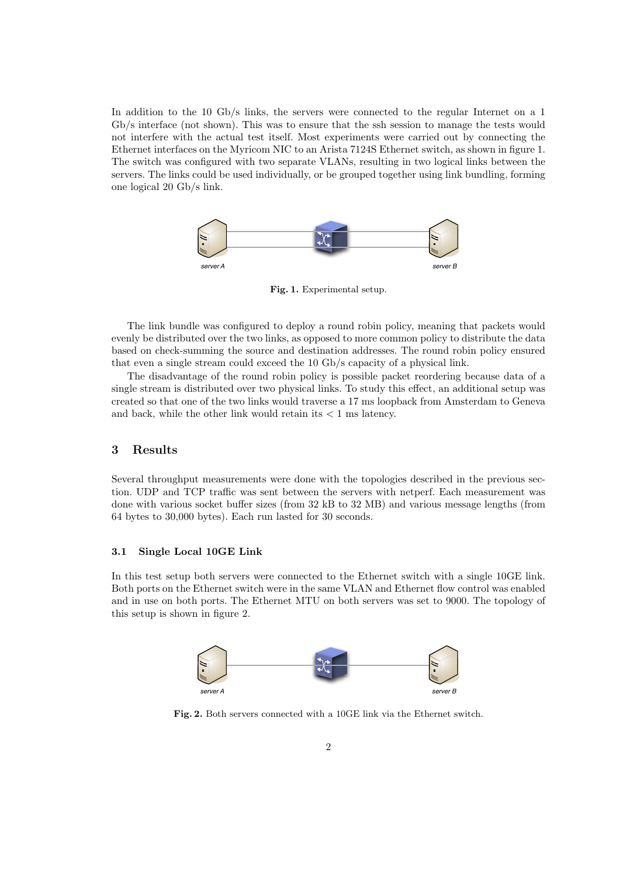In addition to the 10 Gb/s links, the servers were connected to the regular Internet on a 1 Gb/s interface (not shown). This was to ensure that the ssh session to manage the tests would not interfere with the actual test itself. Most experiments were carried out by connecting the Ethernet interfaces on the Myricom NIC to an Arista 7124S Ethernet switch, as shown in figure 1. The switch was configured with two separate VLANs, resulting in two logical links between the servers. The links could be used individually, or be grouped together using link bundling, forming one logical 20 Gb/s link.



Fig. 1. Experimental setup.

The link bundle was configured to deploy a round robin policy, meaning that packets would evenly be distributed over the two links, as opposed to more common policy to distribute the data based on check-summing the source and destination addresses. The round robin policy ensured that even a single stream could exceed the 10 Gb/s capacity of a physical link.

The disadvantage of the round robin policy is possible packet reordering because data of a single stream is distributed over two physical links. To study this effect, an additional setup was created so that one of the two links would traverse a 17 ms loopback from Amsterdam to Geneva and back, while the other link would retain its  $< 1$  ms latency.

# 3 Results

Several throughput measurements were done with the topologies described in the previous section. UDP and TCP traffic was sent between the servers with netperf. Each measurement was done with various socket buffer sizes (from 32 kB to 32 MB) and various message lengths (from 64 bytes to 30,000 bytes). Each run lasted for 30 seconds.

#### 3.1 Single Local 10GE Link

In this test setup both servers were connected to the Ethernet switch with a single 10GE link. Both ports on the Ethernet switch were in the same VLAN and Ethernet flow control was enabled and in use on both ports. The Ethernet MTU on both servers was set to 9000. The topology of this setup is shown in figure 2.



Fig. 2. Both servers connected with a 10GE link via the Ethernet switch.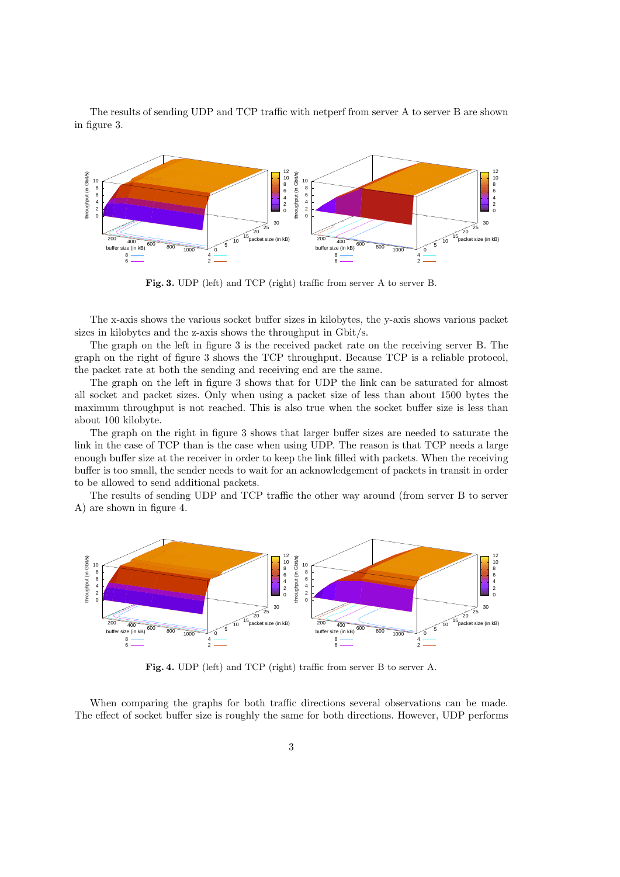The results of sending UDP and TCP traffic with netperf from server A to server B are shown in figure 3.



Fig. 3. UDP (left) and TCP (right) traffic from server A to server B.

The x-axis shows the various socket buffer sizes in kilobytes, the y-axis shows various packet sizes in kilobytes and the z-axis shows the throughput in Gbit/s.

The graph on the left in figure 3 is the received packet rate on the receiving server B. The graph on the right of figure 3 shows the TCP throughput. Because TCP is a reliable protocol, the packet rate at both the sending and receiving end are the same.

The graph on the left in figure 3 shows that for UDP the link can be saturated for almost all socket and packet sizes. Only when using a packet size of less than about 1500 bytes the maximum throughput is not reached. This is also true when the socket buffer size is less than about 100 kilobyte.

The graph on the right in figure 3 shows that larger buffer sizes are needed to saturate the link in the case of TCP than is the case when using UDP. The reason is that TCP needs a large enough buffer size at the receiver in order to keep the link filled with packets. When the receiving buffer is too small, the sender needs to wait for an acknowledgement of packets in transit in order to be allowed to send additional packets.

The results of sending UDP and TCP traffic the other way around (from server B to server A) are shown in figure 4.



Fig. 4. UDP (left) and TCP (right) traffic from server B to server A.

When comparing the graphs for both traffic directions several observations can be made. The effect of socket buffer size is roughly the same for both directions. However, UDP performs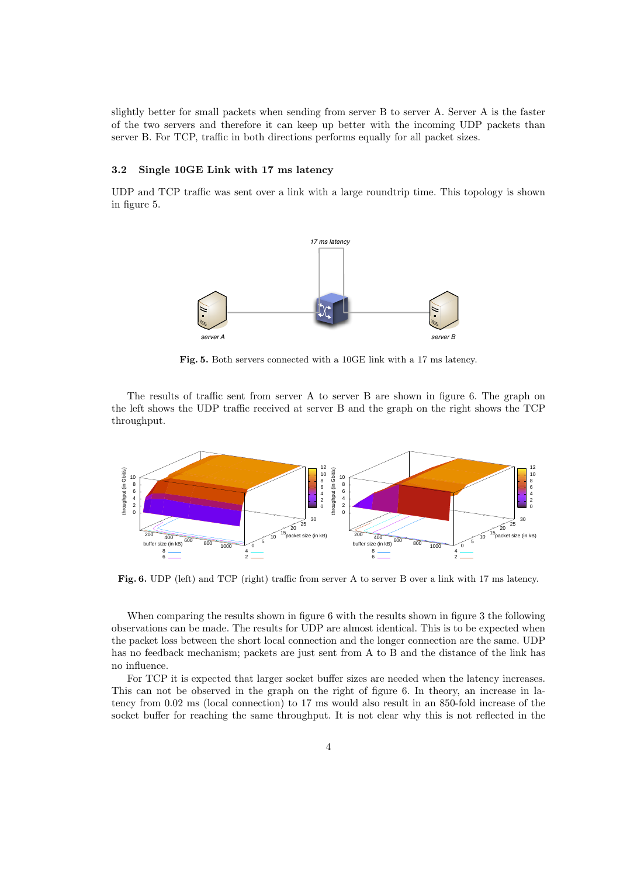slightly better for small packets when sending from server B to server A. Server A is the faster of the two servers and therefore it can keep up better with the incoming UDP packets than server B. For TCP, traffic in both directions performs equally for all packet sizes.

### 3.2 Single 10GE Link with 17 ms latency

UDP and TCP traffic was sent over a link with a large roundtrip time. This topology is shown in figure 5.



Fig. 5. Both servers connected with a 10GE link with a 17 ms latency.

The results of traffic sent from server A to server B are shown in figure 6. The graph on the left shows the UDP traffic received at server B and the graph on the right shows the TCP throughput.



Fig. 6. UDP (left) and TCP (right) traffic from server A to server B over a link with 17 ms latency.

When comparing the results shown in figure 6 with the results shown in figure 3 the following observations can be made. The results for UDP are almost identical. This is to be expected when the packet loss between the short local connection and the longer connection are the same. UDP has no feedback mechanism; packets are just sent from A to B and the distance of the link has no influence.

For TCP it is expected that larger socket buffer sizes are needed when the latency increases. This can not be observed in the graph on the right of figure 6. In theory, an increase in latency from 0.02 ms (local connection) to 17 ms would also result in an 850-fold increase of the socket buffer for reaching the same throughput. It is not clear why this is not reflected in the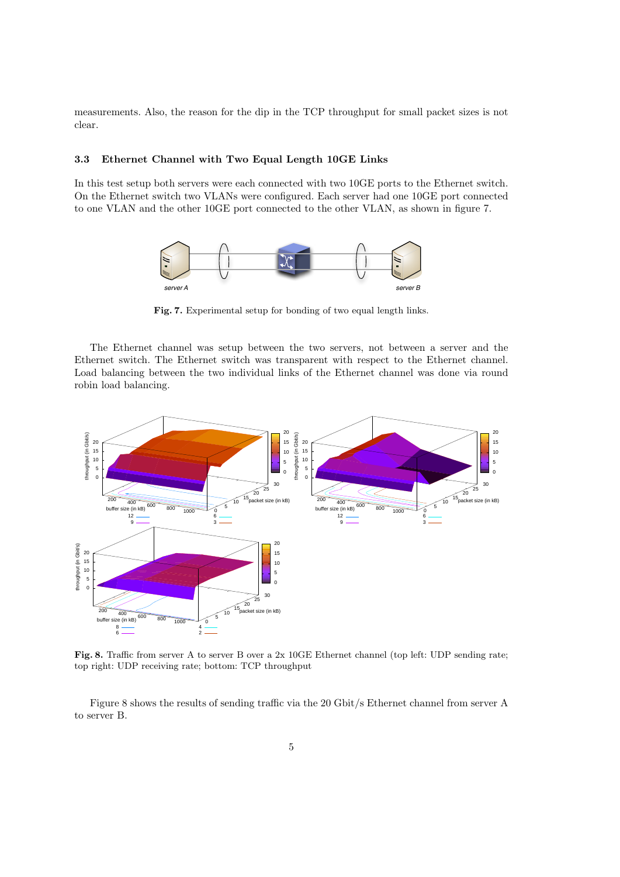measurements. Also, the reason for the dip in the TCP throughput for small packet sizes is not clear.

### 3.3 Ethernet Channel with Two Equal Length 10GE Links

In this test setup both servers were each connected with two 10GE ports to the Ethernet switch. On the Ethernet switch two VLANs were configured. Each server had one 10GE port connected to one VLAN and the other 10GE port connected to the other VLAN, as shown in figure 7.



Fig. 7. Experimental setup for bonding of two equal length links.

The Ethernet channel was setup between the two servers, not between a server and the Ethernet switch. The Ethernet switch was transparent with respect to the Ethernet channel. Load balancing between the two individual links of the Ethernet channel was done via round robin load balancing.



Fig. 8. Traffic from server A to server B over a 2x 10GE Ethernet channel (top left: UDP sending rate; top right: UDP receiving rate; bottom: TCP throughput

Figure 8 shows the results of sending traffic via the 20 Gbit/s Ethernet channel from server A to server B.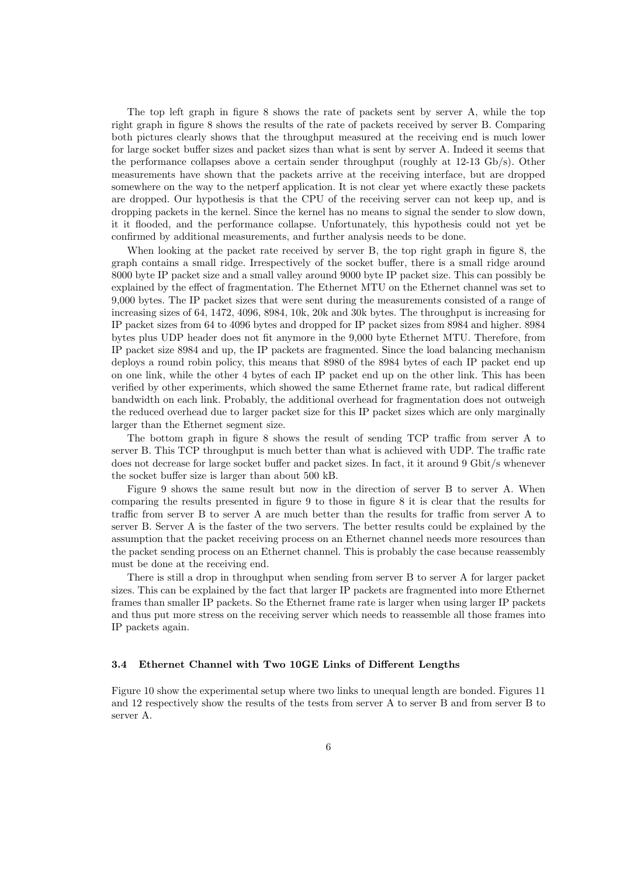The top left graph in figure 8 shows the rate of packets sent by server A, while the top right graph in figure 8 shows the results of the rate of packets received by server B. Comparing both pictures clearly shows that the throughput measured at the receiving end is much lower for large socket buffer sizes and packet sizes than what is sent by server A. Indeed it seems that the performance collapses above a certain sender throughput (roughly at 12-13 Gb/s). Other measurements have shown that the packets arrive at the receiving interface, but are dropped somewhere on the way to the netperf application. It is not clear yet where exactly these packets are dropped. Our hypothesis is that the CPU of the receiving server can not keep up, and is dropping packets in the kernel. Since the kernel has no means to signal the sender to slow down, it it flooded, and the performance collapse. Unfortunately, this hypothesis could not yet be confirmed by additional measurements, and further analysis needs to be done.

When looking at the packet rate received by server B, the top right graph in figure 8, the graph contains a small ridge. Irrespectively of the socket buffer, there is a small ridge around 8000 byte IP packet size and a small valley around 9000 byte IP packet size. This can possibly be explained by the effect of fragmentation. The Ethernet MTU on the Ethernet channel was set to 9,000 bytes. The IP packet sizes that were sent during the measurements consisted of a range of increasing sizes of 64, 1472, 4096, 8984, 10k, 20k and 30k bytes. The throughput is increasing for IP packet sizes from 64 to 4096 bytes and dropped for IP packet sizes from 8984 and higher. 8984 bytes plus UDP header does not fit anymore in the 9,000 byte Ethernet MTU. Therefore, from IP packet size 8984 and up, the IP packets are fragmented. Since the load balancing mechanism deploys a round robin policy, this means that 8980 of the 8984 bytes of each IP packet end up on one link, while the other 4 bytes of each IP packet end up on the other link. This has been verified by other experiments, which showed the same Ethernet frame rate, but radical different bandwidth on each link. Probably, the additional overhead for fragmentation does not outweigh the reduced overhead due to larger packet size for this IP packet sizes which are only marginally larger than the Ethernet segment size.

The bottom graph in figure 8 shows the result of sending TCP traffic from server A to server B. This TCP throughput is much better than what is achieved with UDP. The traffic rate does not decrease for large socket buffer and packet sizes. In fact, it it around 9 Gbit/s whenever the socket buffer size is larger than about 500 kB.

Figure 9 shows the same result but now in the direction of server B to server A. When comparing the results presented in figure 9 to those in figure 8 it is clear that the results for traffic from server B to server A are much better than the results for traffic from server A to server B. Server A is the faster of the two servers. The better results could be explained by the assumption that the packet receiving process on an Ethernet channel needs more resources than the packet sending process on an Ethernet channel. This is probably the case because reassembly must be done at the receiving end.

There is still a drop in throughput when sending from server B to server A for larger packet sizes. This can be explained by the fact that larger IP packets are fragmented into more Ethernet frames than smaller IP packets. So the Ethernet frame rate is larger when using larger IP packets and thus put more stress on the receiving server which needs to reassemble all those frames into IP packets again.

#### 3.4 Ethernet Channel with Two 10GE Links of Different Lengths

Figure 10 show the experimental setup where two links to unequal length are bonded. Figures 11 and 12 respectively show the results of the tests from server A to server B and from server B to server A.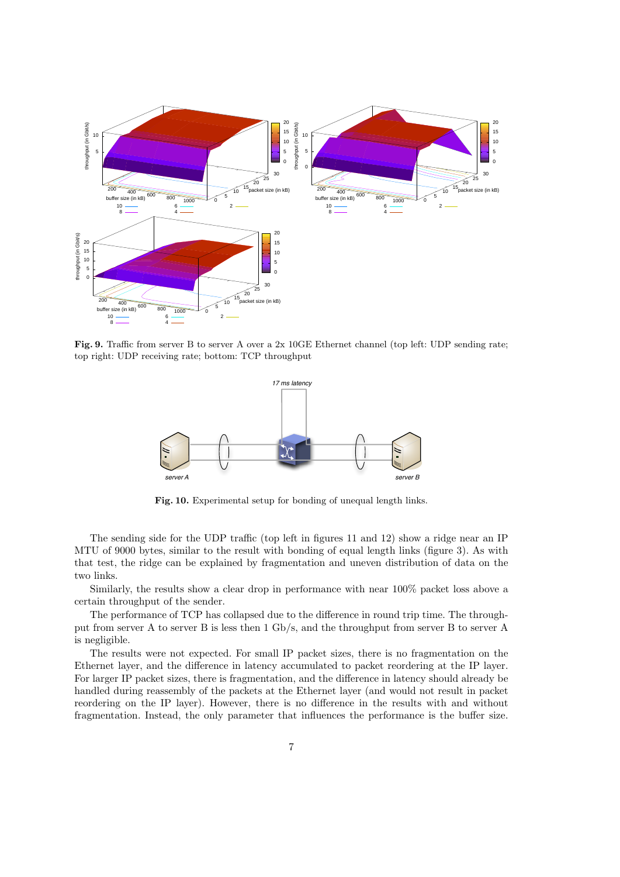

Fig. 9. Traffic from server B to server A over a 2x 10GE Ethernet channel (top left: UDP sending rate; top right: UDP receiving rate; bottom: TCP throughput



Fig. 10. Experimental setup for bonding of unequal length links.

The sending side for the UDP traffic (top left in figures 11 and 12) show a ridge near an IP MTU of 9000 bytes, similar to the result with bonding of equal length links (figure 3). As with that test, the ridge can be explained by fragmentation and uneven distribution of data on the two links.

Similarly, the results show a clear drop in performance with near 100% packet loss above a certain throughput of the sender.

The performance of TCP has collapsed due to the difference in round trip time. The throughput from server A to server B is less then 1 Gb/s, and the throughput from server B to server A is negligible.

The results were not expected. For small IP packet sizes, there is no fragmentation on the Ethernet layer, and the difference in latency accumulated to packet reordering at the IP layer. For larger IP packet sizes, there is fragmentation, and the difference in latency should already be handled during reassembly of the packets at the Ethernet layer (and would not result in packet reordering on the IP layer). However, there is no difference in the results with and without fragmentation. Instead, the only parameter that influences the performance is the buffer size.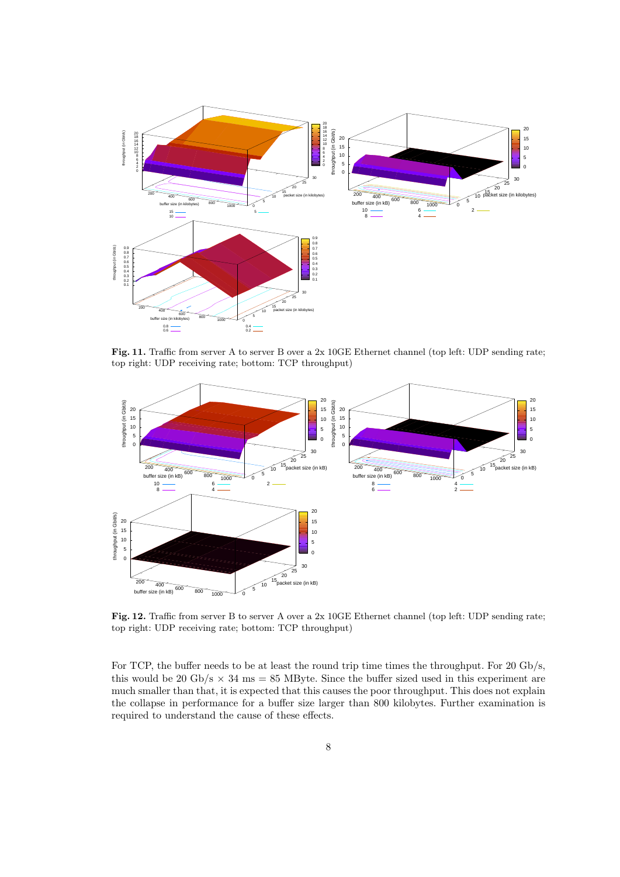

Fig. 11. Traffic from server A to server B over a 2x 10GE Ethernet channel (top left: UDP sending rate; top right: UDP receiving rate; bottom: TCP throughput)



Fig. 12. Traffic from server B to server A over a 2x 10GE Ethernet channel (top left: UDP sending rate; top right: UDP receiving rate; bottom: TCP throughput)

For TCP, the buffer needs to be at least the round trip time times the throughput. For 20 Gb/s, this would be 20 Gb/s  $\times$  34 ms = 85 MByte. Since the buffer sized used in this experiment are much smaller than that, it is expected that this causes the poor throughput. This does not explain the collapse in performance for a buffer size larger than 800 kilobytes. Further examination is required to understand the cause of these effects.